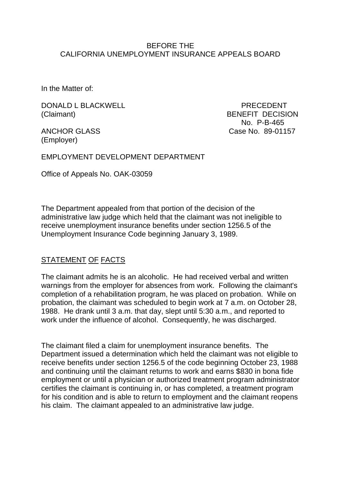### BEFORE THE CALIFORNIA UNEMPLOYMENT INSURANCE APPEALS BOARD

In the Matter of:

DONALD L BLACKWELL PRECEDENT (Claimant) BENEFIT DECISION

(Employer)

 No. P-B-465 ANCHOR GLASS Case No. 89-01157

EMPLOYMENT DEVELOPMENT DEPARTMENT

Office of Appeals No. OAK-03059

The Department appealed from that portion of the decision of the administrative law judge which held that the claimant was not ineligible to receive unemployment insurance benefits under section 1256.5 of the Unemployment Insurance Code beginning January 3, 1989.

# STATEMENT OF FACTS

The claimant admits he is an alcoholic. He had received verbal and written warnings from the employer for absences from work. Following the claimant's completion of a rehabilitation program, he was placed on probation. While on probation, the claimant was scheduled to begin work at 7 a.m. on October 28, 1988. He drank until 3 a.m. that day, slept until 5:30 a.m., and reported to work under the influence of alcohol. Consequently, he was discharged.

The claimant filed a claim for unemployment insurance benefits. The Department issued a determination which held the claimant was not eligible to receive benefits under section 1256.5 of the code beginning October 23, 1988 and continuing until the claimant returns to work and earns \$830 in bona fide employment or until a physician or authorized treatment program administrator certifies the claimant is continuing in, or has completed, a treatment program for his condition and is able to return to employment and the claimant reopens his claim. The claimant appealed to an administrative law judge.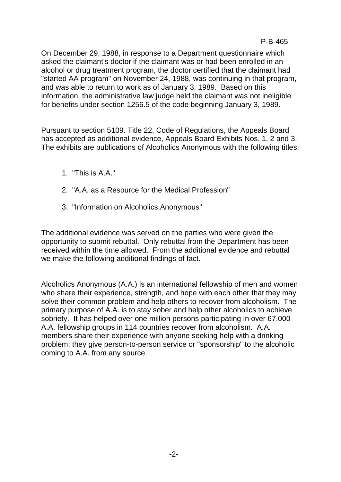On December 29, 1988, in response to a Department questionnaire which asked the claimant's doctor if the claimant was or had been enrolled in an alcohol or drug treatment program, the doctor certified that the claimant had "started AA program" on November 24, 1988, was continuing in that program, and was able to return to work as of January 3, 1989. Based on this information, the administrative law judge held the claimant was not ineligible for benefits under section 1256.5 of the code beginning January 3, 1989.

Pursuant to section 5109. Title 22, Code of Regulations, the Appeals Board has accepted as additional evidence, Appeals Board Exhibits Nos. 1, 2 and 3. The exhibits are publications of Alcoholics Anonymous with the following titles:

- 1. "This is A.A."
- 2. "A.A. as a Resource for the Medical Profession"
- 3. "Information on Alcoholics Anonymous"

The additional evidence was served on the parties who were given the opportunity to submit rebuttal. Only rebuttal from the Department has been received within the time allowed. From the additional evidence and rebuttal we make the following additional findings of fact.

Alcoholics Anonymous (A.A.) is an international fellowship of men and women who share their experience, strength, and hope with each other that they may solve their common problem and help others to recover from alcoholism. The primary purpose of A.A. is to stay sober and help other alcoholics to achieve sobriety. It has helped over one million persons participating in over 67,000 A.A. fellowship groups in 114 countries recover from alcoholism. A.A. members share their experience with anyone seeking help with a drinking problem; they give person-to-person service or "sponsorship" to the alcoholic coming to A.A. from any source.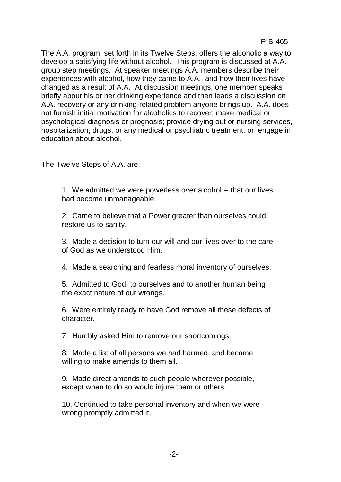The A.A. program, set forth in its Twelve Steps, offers the alcoholic a way to develop a satisfying life without alcohol. This program is discussed at A.A. group step meetings. At speaker meetings A.A. members describe their experiences with alcohol, how they came to A.A., and how their lives have changed as a result of A.A. At discussion meetings, one member speaks briefly about his or her drinking experience and then leads a discussion on A.A. recovery or any drinking-related problem anyone brings up. A.A. does not furnish initial motivation for alcoholics to recover; make medical or psychological diagnosis or prognosis; provide drying out or nursing services, hospitalization, drugs, or any medical or psychiatric treatment; or, engage in education about alcohol.

The Twelve Steps of A.A. are:

1. We admitted we were powerless over alcohol -- that our lives had become unmanageable.

2. Came to believe that a Power greater than ourselves could restore us to sanity.

3. Made a decision to turn our will and our lives over to the care of God as we understood Him.

4. Made a searching and fearless moral inventory of ourselves.

5. Admitted to God, to ourselves and to another human being the exact nature of our wrongs.

6. Were entirely ready to have God remove all these defects of character.

7. Humbly asked Him to remove our shortcomings.

8. Made a list of all persons we had harmed, and became willing to make amends to them all.

9. Made direct amends to such people wherever possible, except when to do so would injure them or others.

10. Continued to take personal inventory and when we were wrong promptly admitted it.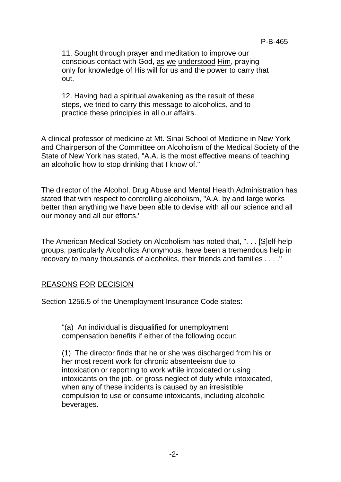11. Sought through prayer and meditation to improve our conscious contact with God, as we understood Him, praying only for knowledge of His will for us and the power to carry that out.

12. Having had a spiritual awakening as the result of these steps, we tried to carry this message to alcoholics, and to practice these principles in all our affairs.

A clinical professor of medicine at Mt. Sinai School of Medicine in New York and Chairperson of the Committee on Alcoholism of the Medical Society of the State of New York has stated, "A.A. is the most effective means of teaching an alcoholic how to stop drinking that I know of."

The director of the Alcohol, Drug Abuse and Mental Health Administration has stated that with respect to controlling alcoholism, "A.A. by and large works better than anything we have been able to devise with all our science and all our money and all our efforts."

The American Medical Society on Alcoholism has noted that, ". . . [S]elf-help groups, particularly Alcoholics Anonymous, have been a tremendous help in recovery to many thousands of alcoholics, their friends and families . . . ."

### REASONS FOR DECISION

Section 1256.5 of the Unemployment Insurance Code states:

"(a) An individual is disqualified for unemployment compensation benefits if either of the following occur:

(1) The director finds that he or she was discharged from his or her most recent work for chronic absenteeism due to intoxication or reporting to work while intoxicated or using intoxicants on the job, or gross neglect of duty while intoxicated, when any of these incidents is caused by an irresistible compulsion to use or consume intoxicants, including alcoholic beverages.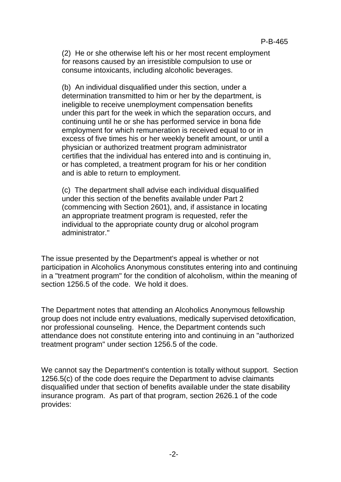(2) He or she otherwise left his or her most recent employment for reasons caused by an irresistible compulsion to use or consume intoxicants, including alcoholic beverages.

(b) An individual disqualified under this section, under a determination transmitted to him or her by the department, is ineligible to receive unemployment compensation benefits under this part for the week in which the separation occurs, and continuing until he or she has performed service in bona fide employment for which remuneration is received equal to or in excess of five times his or her weekly benefit amount, or until a physician or authorized treatment program administrator certifies that the individual has entered into and is continuing in, or has completed, a treatment program for his or her condition and is able to return to employment.

(c) The department shall advise each individual disqualified under this section of the benefits available under Part 2 (commencing with Section 2601), and, if assistance in locating an appropriate treatment program is requested, refer the individual to the appropriate county drug or alcohol program administrator."

The issue presented by the Department's appeal is whether or not participation in Alcoholics Anonymous constitutes entering into and continuing in a "treatment program" for the condition of alcoholism, within the meaning of section 1256.5 of the code. We hold it does.

The Department notes that attending an Alcoholics Anonymous fellowship group does not include entry evaluations, medically supervised detoxification, nor professional counseling. Hence, the Department contends such attendance does not constitute entering into and continuing in an "authorized treatment program" under section 1256.5 of the code.

We cannot say the Department's contention is totally without support. Section 1256.5(c) of the code does require the Department to advise claimants disqualified under that section of benefits available under the state disability insurance program. As part of that program, section 2626.1 of the code provides: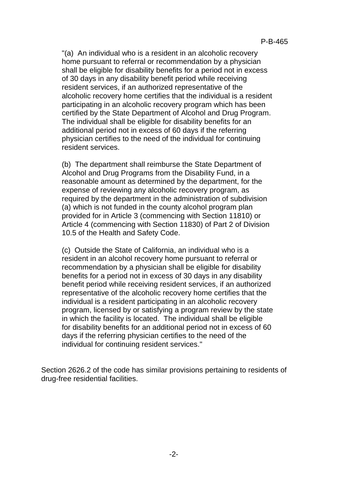"(a) An individual who is a resident in an alcoholic recovery home pursuant to referral or recommendation by a physician shall be eligible for disability benefits for a period not in excess of 30 days in any disability benefit period while receiving resident services, if an authorized representative of the alcoholic recovery home certifies that the individual is a resident participating in an alcoholic recovery program which has been certified by the State Department of Alcohol and Drug Program. The individual shall be eligible for disability benefits for an additional period not in excess of 60 days if the referring physician certifies to the need of the individual for continuing resident services.

(b) The department shall reimburse the State Department of Alcohol and Drug Programs from the Disability Fund, in a reasonable amount as determined by the department, for the expense of reviewing any alcoholic recovery program, as required by the department in the administration of subdivision (a) which is not funded in the county alcohol program plan provided for in Article 3 (commencing with Section 11810) or Article 4 (commencing with Section 11830) of Part 2 of Division 10.5 of the Health and Safety Code.

(c) Outside the State of California, an individual who is a resident in an alcohol recovery home pursuant to referral or recommendation by a physician shall be eligible for disability benefits for a period not in excess of 30 days in any disability benefit period while receiving resident services, if an authorized representative of the alcoholic recovery home certifies that the individual is a resident participating in an alcoholic recovery program, licensed by or satisfying a program review by the state in which the facility is located. The individual shall be eligible for disability benefits for an additional period not in excess of 60 days if the referring physician certifies to the need of the individual for continuing resident services."

Section 2626.2 of the code has similar provisions pertaining to residents of drug-free residential facilities.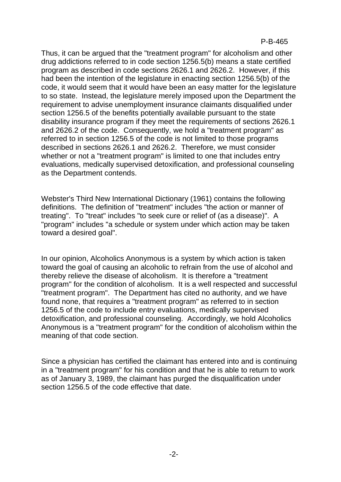#### P-B-465

Thus, it can be argued that the "treatment program" for alcoholism and other drug addictions referred to in code section 1256.5(b) means a state certified program as described in code sections 2626.1 and 2626.2. However, if this had been the intention of the legislature in enacting section 1256.5(b) of the code, it would seem that it would have been an easy matter for the legislature to so state. Instead, the legislature merely imposed upon the Department the requirement to advise unemployment insurance claimants disqualified under section 1256.5 of the benefits potentially available pursuant to the state disability insurance program if they meet the requirements of sections 2626.1 and 2626.2 of the code. Consequently, we hold a "treatment program" as referred to in section 1256.5 of the code is not limited to those programs described in sections 2626.1 and 2626.2. Therefore, we must consider whether or not a "treatment program" is limited to one that includes entry evaluations, medically supervised detoxification, and professional counseling as the Department contends.

Webster's Third New International Dictionary (1961) contains the following definitions. The definition of "treatment" includes "the action or manner of treating". To "treat" includes "to seek cure or relief of (as a disease)". A "program" includes "a schedule or system under which action may be taken toward a desired goal".

In our opinion, Alcoholics Anonymous is a system by which action is taken toward the goal of causing an alcoholic to refrain from the use of alcohol and thereby relieve the disease of alcoholism. It is therefore a "treatment program" for the condition of alcoholism. It is a well respected and successful "treatment program". The Department has cited no authority, and we have found none, that requires a "treatment program" as referred to in section 1256.5 of the code to include entry evaluations, medically supervised detoxification, and professional counseling. Accordingly, we hold Alcoholics Anonymous is a "treatment program" for the condition of alcoholism within the meaning of that code section.

Since a physician has certified the claimant has entered into and is continuing in a "treatment program" for his condition and that he is able to return to work as of January 3, 1989, the claimant has purged the disqualification under section 1256.5 of the code effective that date.